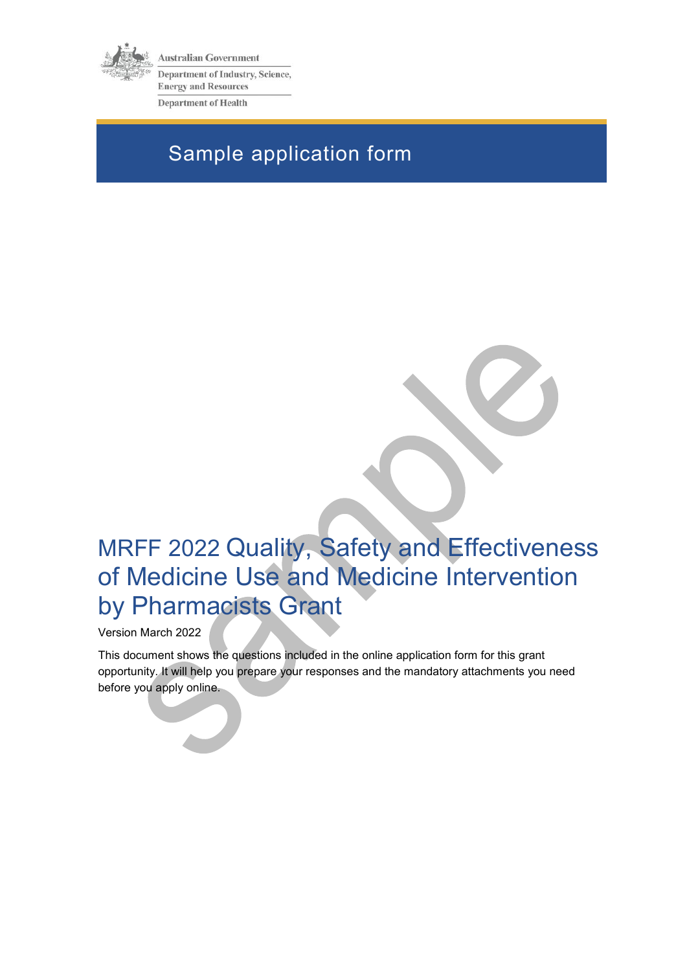

**Australian Government** Department of Industry, Science, **Energy and Resources Department of Health** 

# Sample application form

# MRFF 2022 Quality, Safety and Effectiveness of Medicine Use and Medicine Intervention by Pharmacists Grant

Version March 2022

This document shows the questions included in the online application form for this grant opportunity. It will help you prepare your responses and the mandatory attachments you need before you apply online.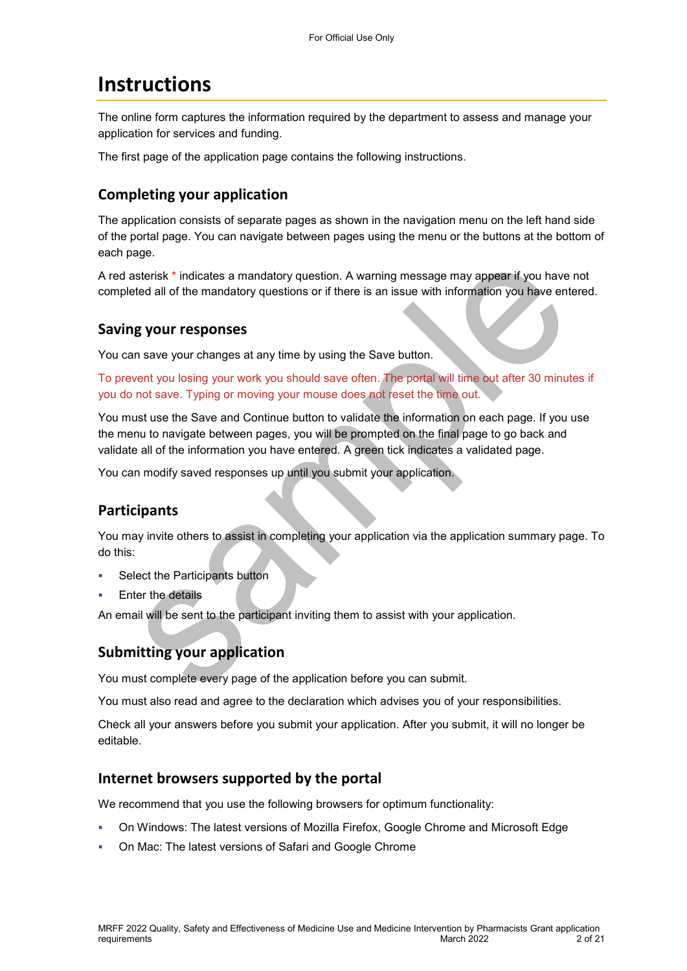# **Instructions**

The online form captures the information required by the department to assess and manage your application for services and funding.

The first page of the application page contains the following instructions.

## **Completing your application**

The application consists of separate pages as shown in the navigation menu on the left hand side of the portal page. You can navigate between pages using the menu or the buttons at the bottom of each page.

A red asterisk \* indicates a mandatory question. A warning message may appear if you have not completed all of the mandatory questions or if there is an issue with information you have entered.

### **Saving your responses**

You can save your changes at any time by using the Save button.

To prevent you losing your work you should save often. The portal will time out after 30 minutes if you do not save. Typing or moving your mouse does not reset the time out.

You must use the Save and Continue button to validate the information on each page. If you use the menu to navigate between pages, you will be prompted on the final page to go back and validate all of the information you have entered. A green tick indicates a validated page.

You can modify saved responses up until you submit your application.

## **Participants**

You may invite others to assist in completing your application via the application summary page. To do this:

- Select the Participants button
- Enter the details

An email will be sent to the participant inviting them to assist with your application.

# **Submitting your application**

You must complete every page of the application before you can submit.

You must also read and agree to the declaration which advises you of your responsibilities.

Check all your answers before you submit your application. After you submit, it will no longer be editable.

### **Internet browsers supported by the portal**

We recommend that you use the following browsers for optimum functionality:

- On Windows: The latest versions of Mozilla Firefox, Google Chrome and Microsoft Edge
- On Mac: The latest versions of Safari and Google Chrome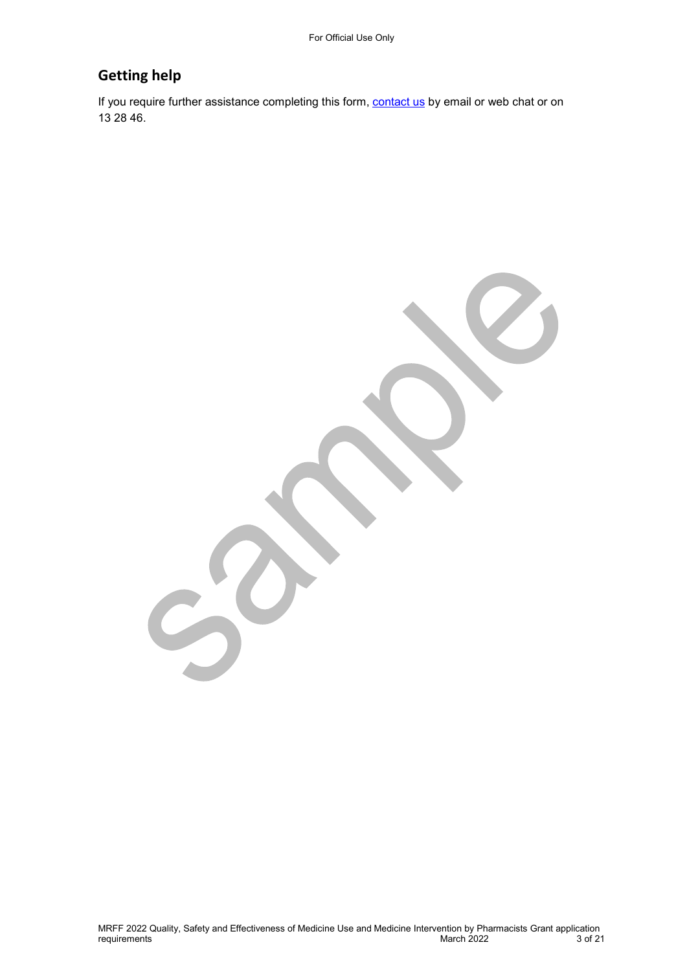# **Getting help**

If you require further assistance completing this form, [contact us](https://www.business.gov.au/contact-us) by email or web chat or on 13 28 46.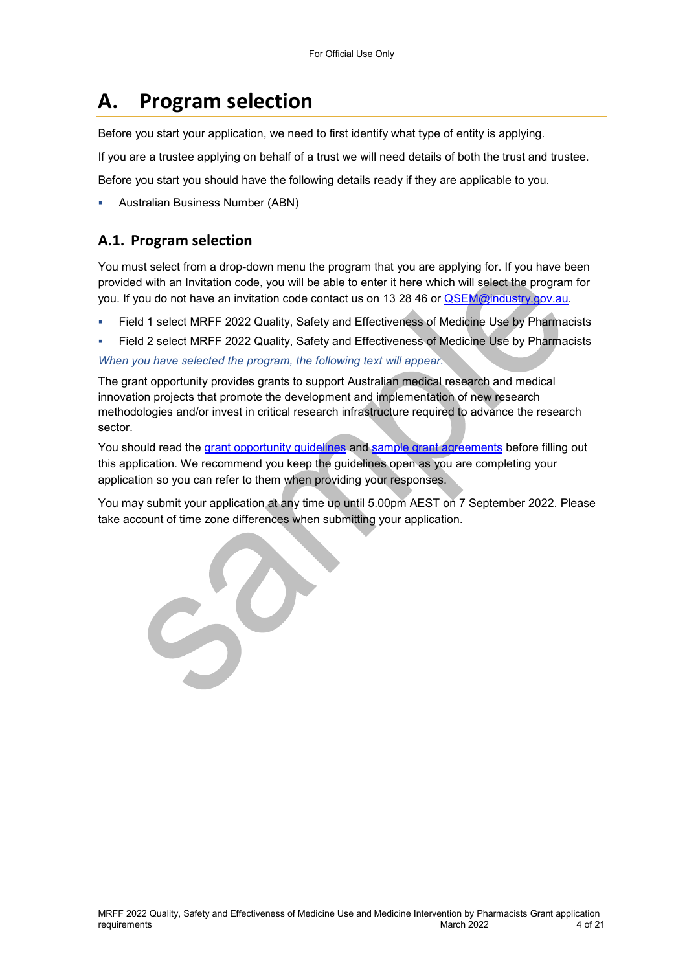# **A. Program selection**

Before you start your application, we need to first identify what type of entity is applying.

If you are a trustee applying on behalf of a trust we will need details of both the trust and trustee.

Before you start you should have the following details ready if they are applicable to you.

Australian Business Number (ABN)

### **A.1. Program selection**

You must select from a drop-down menu the program that you are applying for. If you have been provided with an Invitation code, you will be able to enter it here which will select the program for you. If you do not have an invitation code contact us on 13 28 46 or [QSEM@industry.gov.au.](mailto:QSEM@industry.gov.au)

- Field 1 select MRFF 2022 Quality, Safety and Effectiveness of Medicine Use by Pharmacists
- Field 2 select MRFF 2022 Quality, Safety and Effectiveness of Medicine Use by Pharmacists *When you have selected the program, the following text will appear.*

The grant opportunity provides grants to support Australian medical research and medical innovation projects that promote the development and implementation of new research methodologies and/or invest in critical research infrastructure required to advance the research sector.

You should read the [grant opportunity guidelines](https://business.gov.au/grants-and-programs/mrff-2022-quality-safety-and-effectiveness-of-medicine-use-and-medicine-intervention-by-pharmacists#key-documents) and [sample grant agreements](https://business.gov.au/grants-and-programs/mrff-2022-quality-safety-and-effectiveness-of-medicine-use-and-medicine-intervention-by-pharmacists#key-documents) before filling out this application. We recommend you keep the guidelines open as you are completing your application so you can refer to them when providing your responses.

You may submit your application at any time up until 5.00pm AEST on 7 September 2022. Please take account of time zone differences when submitting your application.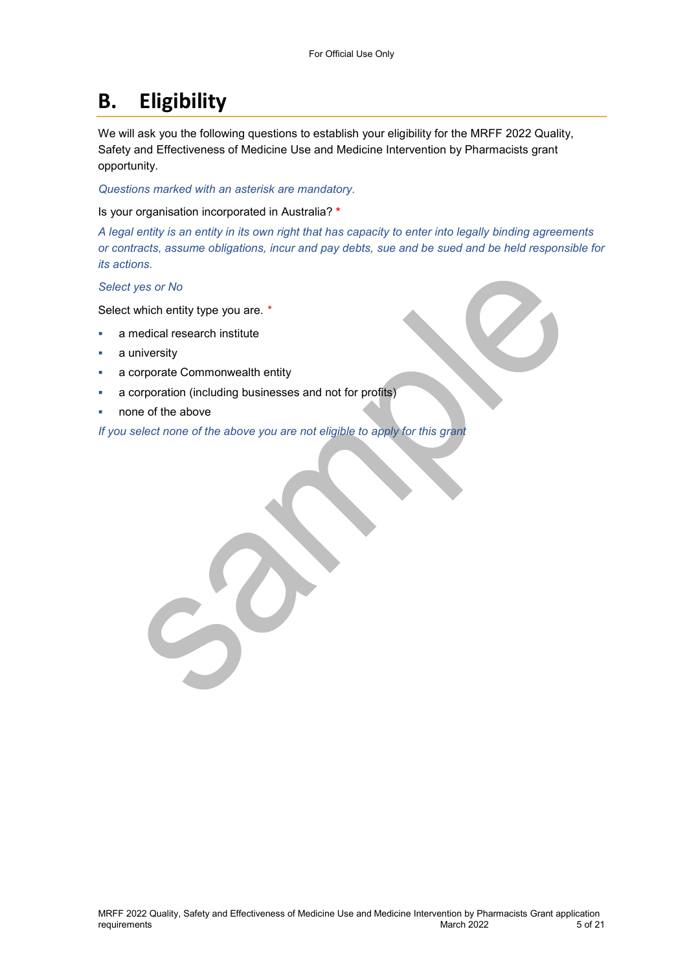# **B. Eligibility**

We will ask you the following questions to establish your eligibility for the MRFF 2022 Quality, Safety and Effectiveness of Medicine Use and Medicine Intervention by Pharmacists grant opportunity.

*Questions marked with an asterisk are mandatory.* 

Is your organisation incorporated in Australia? **\***

*A legal entity is an entity in its own right that has capacity to enter into legally binding agreements or contracts, assume obligations, incur and pay debts, sue and be sued and be held responsible for its actions.* 

*Select yes or No* 

Select which entity type you are. *\**

- a medical research institute
- a university
- a corporate Commonwealth entity
- a corporation (including businesses and not for profits)

none of the above

*If you select none of the above you are not eligible to apply for this grant*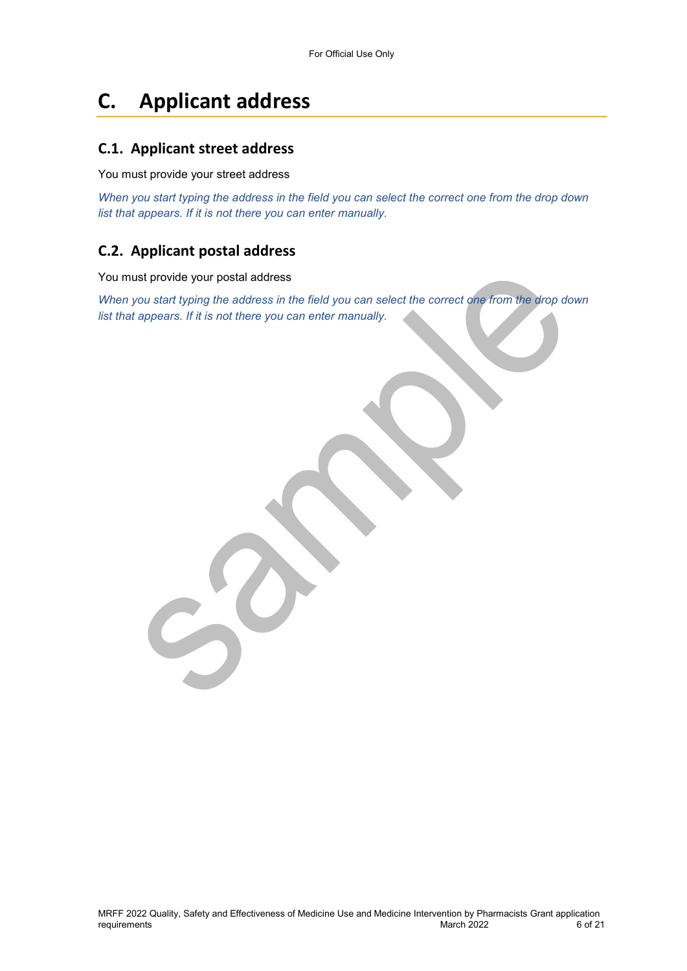# **C. Applicant address**

## **C.1. Applicant street address**

You must provide your street address

*When you start typing the address in the field you can select the correct one from the drop down list that appears. If it is not there you can enter manually.* 

## **C.2. Applicant postal address**

You must provide your postal address

*When you start typing the address in the field you can select the correct one from the drop down list that appears. If it is not there you can enter manually.*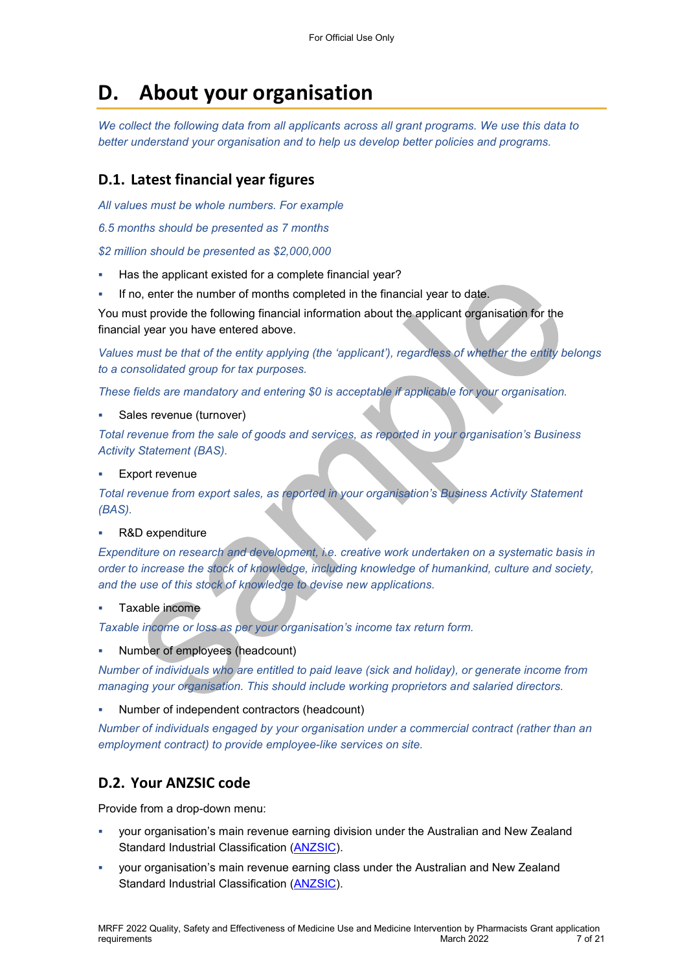# **D. About your organisation**

*We collect the following data from all applicants across all grant programs. We use this data to better understand your organisation and to help us develop better policies and programs.*

## **D.1. Latest financial year figures**

*All values must be whole numbers. For example* 

*6.5 months should be presented as 7 months* 

*\$2 million should be presented as \$2,000,000* 

- Has the applicant existed for a complete financial year?
- If no, enter the number of months completed in the financial year to date.

You must provide the following financial information about the applicant organisation for the financial year you have entered above.

*Values must be that of the entity applying (the 'applicant'), regardless of whether the entity belongs to a consolidated group for tax purposes.* 

*These fields are mandatory and entering \$0 is acceptable if applicable for your organisation.* 

Sales revenue (turnover)

*Total revenue from the sale of goods and services, as reported in your organisation's Business Activity Statement (BAS).* 

Export revenue

*Total revenue from export sales, as reported in your organisation's Business Activity Statement (BAS).* 

#### R&D expenditure

*Expenditure on research and development, i.e. creative work undertaken on a systematic basis in order to increase the stock of knowledge, including knowledge of humankind, culture and society, and the use of this stock of knowledge to devise new applications.* 

Taxable income

*Taxable income or loss as per your organisation's income tax return form.* 

Number of employees (headcount)

*Number of individuals who are entitled to paid leave (sick and holiday), or generate income from managing your organisation. This should include working proprietors and salaried directors.* 

Number of independent contractors (headcount)

*Number of individuals engaged by your organisation under a commercial contract (rather than an employment contract) to provide employee-like services on site.* 

### **D.2. Your ANZSIC code**

Provide from a drop-down menu:

- your organisation's main revenue earning division under the Australian and New Zealand Standard Industrial Classification [\(ANZSIC\)](https://www.abs.gov.au/ausstats/abs@.nsf/0/20C5B5A4F46DF95BCA25711F00146D75?opendocument).
- your organisation's main revenue earning class under the Australian and New Zealand Standard Industrial Classification [\(ANZSIC\)](https://www.abs.gov.au/ausstats/abs@.nsf/0/20C5B5A4F46DF95BCA25711F00146D75?opendocument).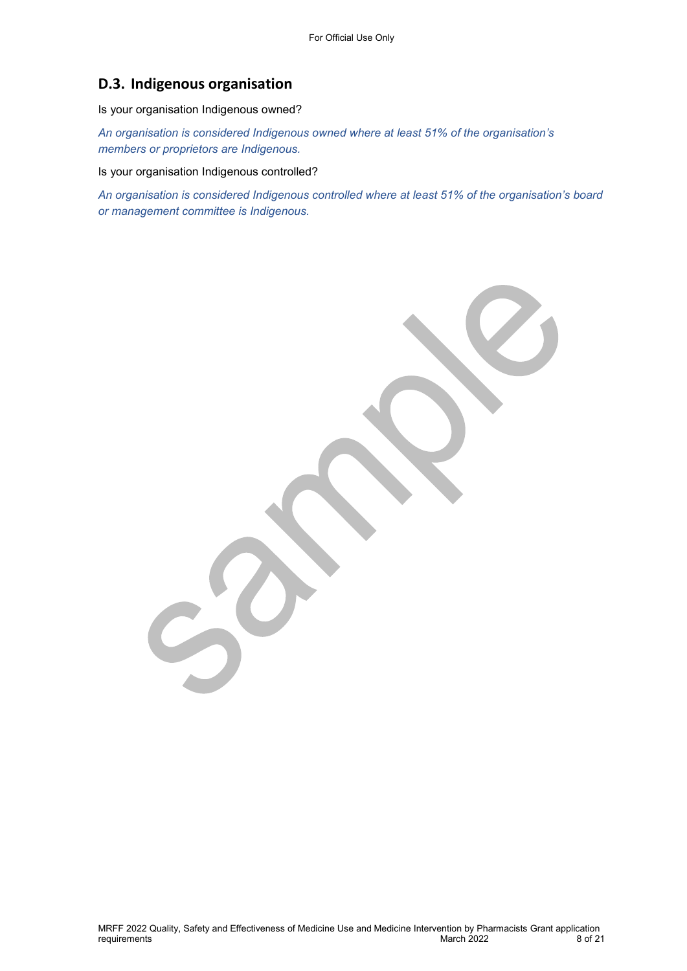## **D.3. Indigenous organisation**

Is your organisation Indigenous owned?

*An organisation is considered Indigenous owned where at least 51% of the organisation's members or proprietors are Indigenous.* 

Is your organisation Indigenous controlled?

*An organisation is considered Indigenous controlled where at least 51% of the organisation's board or management committee is Indigenous.*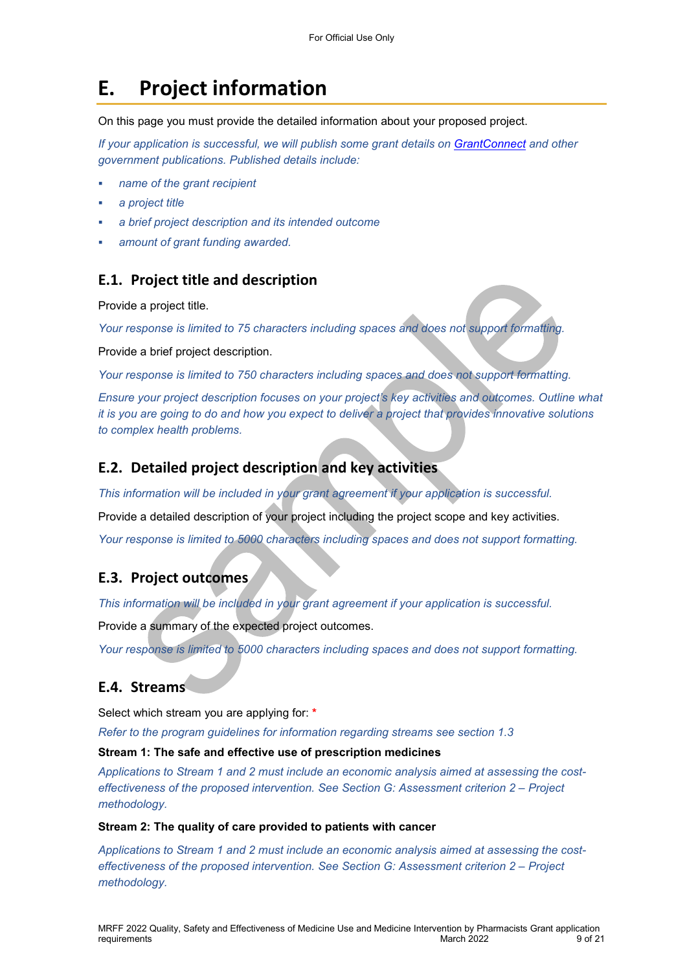# **E. Project information**

On this page you must provide the detailed information about your proposed project.

*If your application is successful, we will publish some grant details on GrantConnect and other government publications. Published details include:* 

- *name of the grant recipient*
- *a project title*
- *a brief project description and its intended outcome*
- *amount of grant funding awarded.*

### **E.1. Project title and description**

Provide a project title.

*Your response is limited to 75 characters including spaces and does not support formatting.* 

Provide a brief project description.

*Your response is limited to 750 characters including spaces and does not support formatting.* 

*Ensure your project description focuses on your project's key activities and outcomes. Outline what it is you are going to do and how you expect to deliver a project that provides innovative solutions to complex health problems.* 

### **E.2. Detailed project description and key activities**

*This information will be included in your grant agreement if your application is successful.* 

Provide a detailed description of your project including the project scope and key activities.

*Your response is limited to 5000 characters including spaces and does not support formatting.* 

### **E.3. Project outcomes**

*This information will be included in your grant agreement if your application is successful.* 

Provide a summary of the expected project outcomes.

*Your response is limited to 5000 characters including spaces and does not support formatting.* 

### **E.4. Streams**

Select which stream you are applying for: **\***

*Refer to the program guidelines for information regarding streams see section 1.3* 

#### **Stream 1: The safe and effective use of prescription medicines**

*Applications to Stream 1 and 2 must include an economic analysis aimed at assessing the costeffectiveness of the proposed intervention. See Section G: Assessment criterion 2 – Project methodology.* 

#### **Stream 2: The quality of care provided to patients with cancer**

*Applications to Stream 1 and 2 must include an economic analysis aimed at assessing the costeffectiveness of the proposed intervention. See Section G: Assessment criterion 2 – Project methodology.*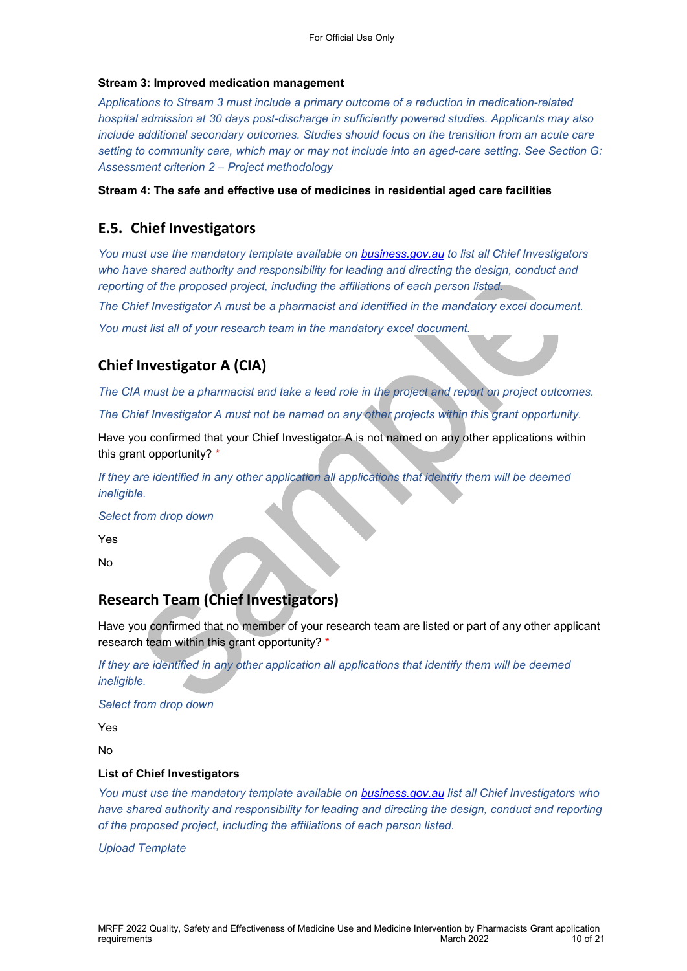#### **Stream 3: Improved medication management**

*Applications to Stream 3 must include a primary outcome of a reduction in medication-related hospital admission at 30 days post-discharge in sufficiently powered studies. Applicants may also include additional secondary outcomes. Studies should focus on the transition from an acute care setting to community care, which may or may not include into an aged-care setting. See Section G: Assessment criterion 2 – Project methodology* 

**Stream 4: The safe and effective use of medicines in residential aged care facilities** 

## **E.5. Chief Investigators**

*You must use the mandatory template available on [business.gov.au](https://business.gov.au/grants-and-programs/mrff-2022-national-critical-research-infrastructure-initiative#key-documents) to list all Chief Investigators*  who have shared authority and responsibility for leading and directing the design, conduct and *reporting of the proposed project, including the affiliations of each person listed.* 

*The Chief Investigator A must be a pharmacist and identified in the mandatory excel document.* 

*You must list all of your research team in the mandatory excel document.* 

# **Chief Investigator A (CIA)**

*The CIA must be a pharmacist and take a lead role in the project and report on project outcomes.* 

*The Chief Investigator A must not be named on any other projects within this grant opportunity.* 

Have you confirmed that your Chief Investigator A is not named on any other applications within this grant opportunity? \*

*If they are identified in any other application all applications that identify them will be deemed ineligible.* 

*Select from drop down* 

Yes

No

# **Research Team (Chief Investigators)**

Have you confirmed that no member of your research team are listed or part of any other applicant research team within this grant opportunity? \*

If they are identified in any other application all applications that identify them will be deemed *ineligible.* 

*Select from drop down* 

Yes

No

#### **List of Chief Investigators**

*You must use the mandatory template available on [business.gov.au](https://business.gov.au/grants-and-programs/mrff-2022-national-critical-research-infrastructure-initiative#key-documents) list all Chief Investigators who*  have shared authority and responsibility for leading and directing the design, conduct and reporting *of the proposed project, including the affiliations of each person listed.* 

*Upload Template*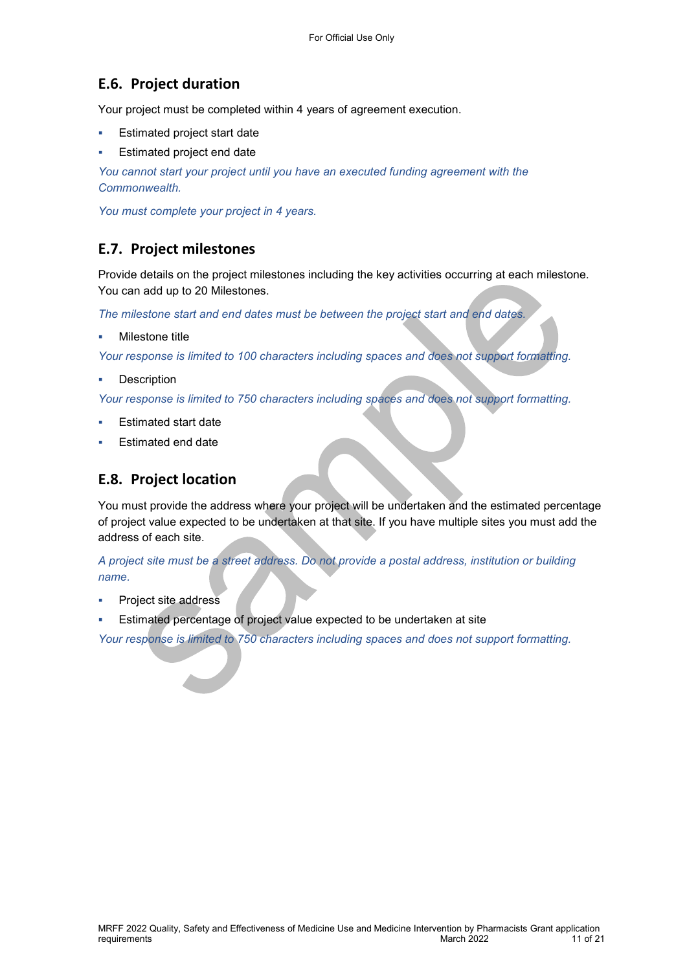## **E.6. Project duration**

Your project must be completed within 4 years of agreement execution.

- Estimated project start date
- Estimated project end date

*You cannot start your project until you have an executed funding agreement with the Commonwealth.* 

*You must complete your project in 4 years.* 

### **E.7. Project milestones**

Provide details on the project milestones including the key activities occurring at each milestone. You can add up to 20 Milestones.

*The milestone start and end dates must be between the project start and end dates.* 

Milestone title

*Your response is limited to 100 characters including spaces and does not support formatting.* 

**Description** 

*Your response is limited to 750 characters including spaces and does not support formatting.* 

- Estimated start date
- Estimated end date

### **E.8. Project location**

You must provide the address where your project will be undertaken and the estimated percentage of project value expected to be undertaken at that site. If you have multiple sites you must add the address of each site.

*A project site must be a street address. Do not provide a postal address, institution or building name.* 

- Project site address
- Estimated percentage of project value expected to be undertaken at site

*Your response is limited to 750 characters including spaces and does not support formatting.*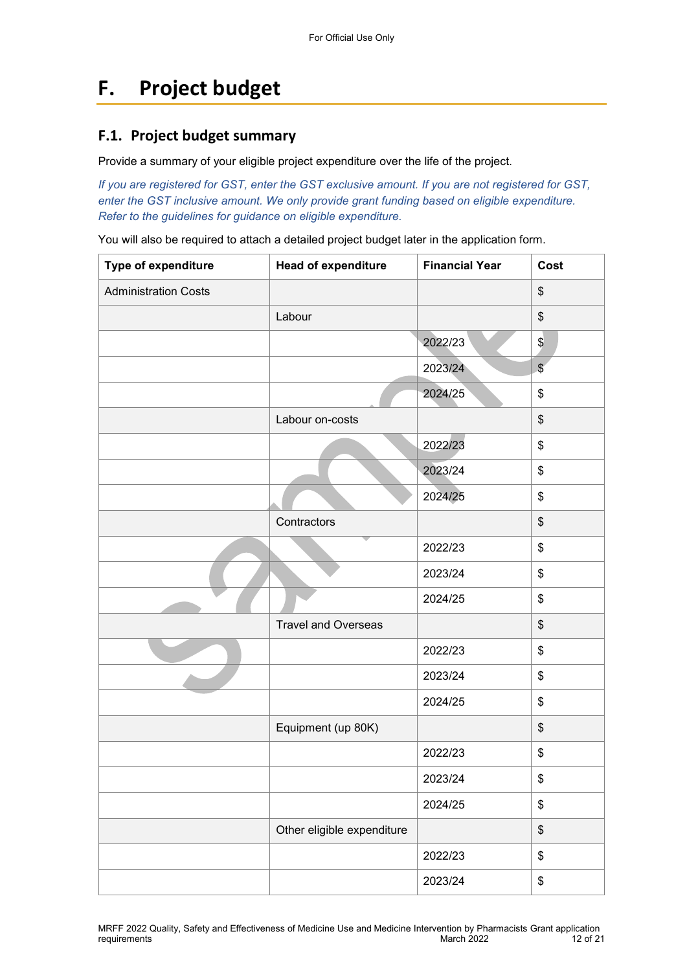# **F. Project budget**

## **F.1. Project budget summary**

Provide a summary of your eligible project expenditure over the life of the project.

*If you are registered for GST, enter the GST exclusive amount. If you are not registered for GST, enter the GST inclusive amount. We only provide grant funding based on eligible expenditure. Refer to the guidelines for guidance on eligible expenditure.* 

You will also be required to attach a detailed project budget later in the application form.

| Type of expenditure         | <b>Head of expenditure</b> | <b>Financial Year</b> | Cost                    |
|-----------------------------|----------------------------|-----------------------|-------------------------|
| <b>Administration Costs</b> |                            |                       | \$                      |
|                             | Labour                     |                       | \$                      |
|                             |                            | 2022/23               | $\frac{1}{2}$           |
|                             |                            | 2023/24               | $\sqrt[6]{\frac{1}{2}}$ |
|                             |                            | 2024/25               | \$                      |
|                             | Labour on-costs            |                       | \$                      |
|                             |                            | 2022/23               | \$                      |
|                             |                            | 2023/24               | \$                      |
|                             |                            | 2024/25               | \$                      |
|                             | Contractors                |                       | \$                      |
|                             |                            | 2022/23               | \$                      |
|                             |                            | 2023/24               | \$                      |
|                             |                            | 2024/25               | \$                      |
|                             | <b>Travel and Overseas</b> |                       | \$                      |
|                             |                            | 2022/23               | \$                      |
|                             |                            | 2023/24               | \$                      |
|                             |                            | 2024/25               | \$                      |
|                             | Equipment (up 80K)         |                       | \$                      |
|                             |                            | 2022/23               | \$                      |
|                             |                            | 2023/24               | \$                      |
|                             |                            | 2024/25               | \$                      |
|                             | Other eligible expenditure |                       | \$                      |
|                             |                            | 2022/23               | \$                      |
|                             |                            | 2023/24               | \$                      |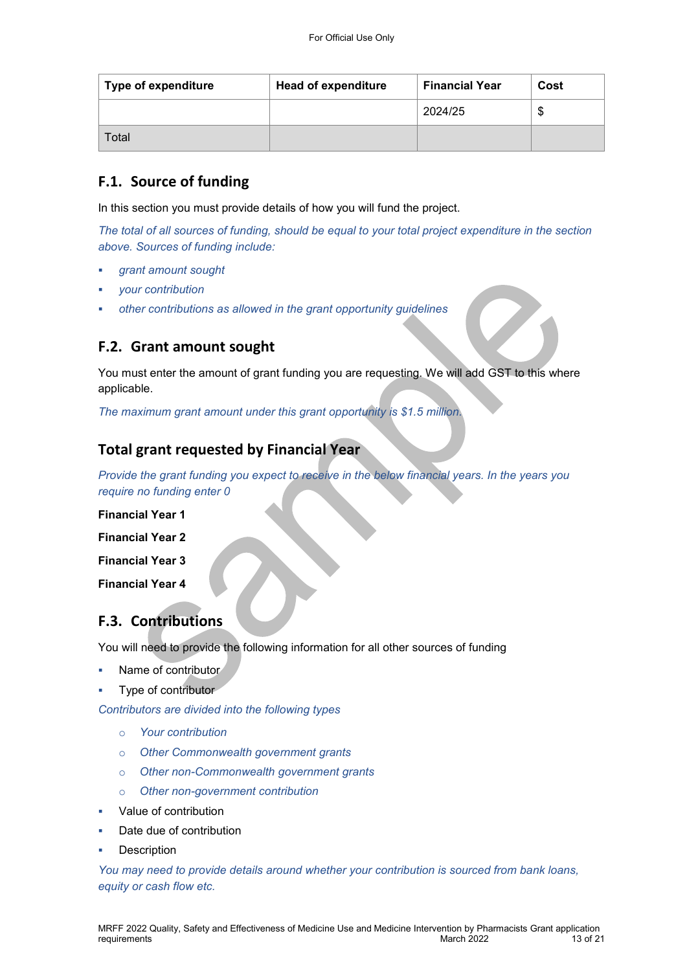| <b>Type of expenditure</b> | <b>Head of expenditure</b> | <b>Financial Year</b> | Cost   |
|----------------------------|----------------------------|-----------------------|--------|
|                            |                            | 2024/25               | σ<br>Ф |
| Total                      |                            |                       |        |

## **F.1. Source of funding**

In this section you must provide details of how you will fund the project.

*The total of all sources of funding, should be equal to your total project expenditure in the section above. Sources of funding include:* 

- *grant amount sought*
- *your contribution*
- *other contributions as allowed in the grant opportunity guidelines*

## **F.2. Grant amount sought**

You must enter the amount of grant funding you are requesting. We will add GST to this where applicable.

*The maximum grant amount under this grant opportunity is \$1.5 million.* 

## **Total grant requested by Financial Year**

*Provide the grant funding you expect to receive in the below financial years. In the years you require no funding enter 0* 

**Financial Year 1** 

**Financial Year 2** 

**Financial Year 3** 

**Financial Year 4** 

# **F.3. Contributions**

You will need to provide the following information for all other sources of funding

- Name of contributor
- Type of contributor

*Contributors are divided into the following types* 

- o *Your contribution*
- o *Other Commonwealth government grants*
- o *Other non-Commonwealth government grants*
- o *Other non-government contribution*
- Value of contribution
- Date due of contribution
- **Description**

*You may need to provide details around whether your contribution is sourced from bank loans, equity or cash flow etc.*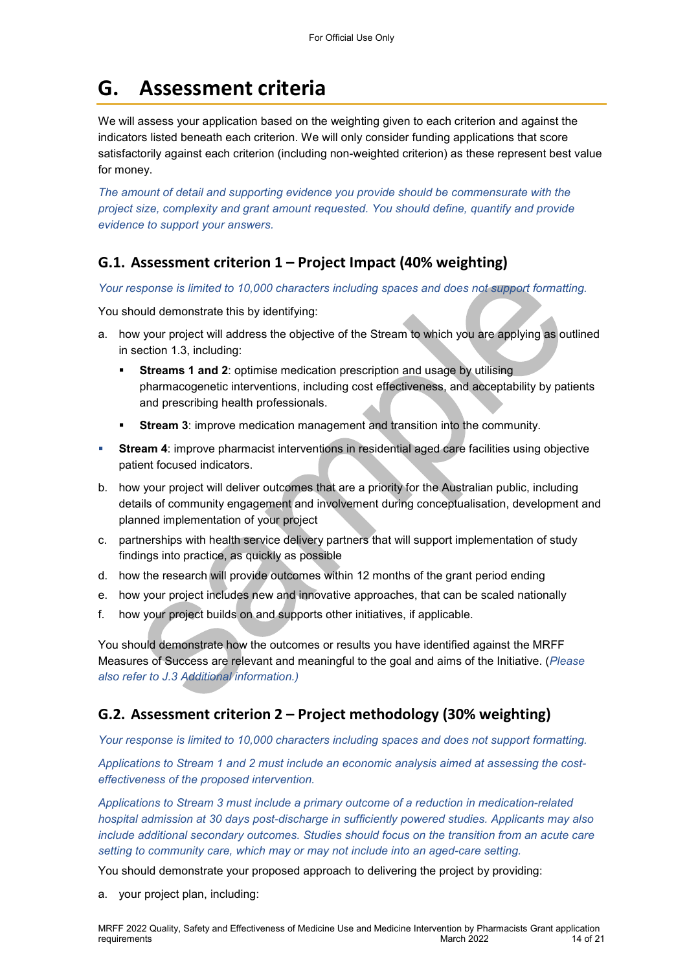# **G. Assessment criteria**

We will assess your application based on the weighting given to each criterion and against the indicators listed beneath each criterion. We will only consider funding applications that score satisfactorily against each criterion (including non-weighted criterion) as these represent best value for money.

*The amount of detail and supporting evidence you provide should be commensurate with the project size, complexity and grant amount requested. You should define, quantify and provide evidence to support your answers.* 

## **G.1. Assessment criterion 1 – Project Impact (40% weighting)**

*Your response is limited to 10,000 characters including spaces and does not support formatting.* 

You should demonstrate this by identifying:

- a. how your project will address the objective of the Stream to which you are applying as outlined in section 1.3, including:
	- **Streams 1 and 2**: optimise medication prescription and usage by utilising pharmacogenetic interventions, including cost effectiveness, and acceptability by patients and prescribing health professionals.
	- **Stream 3**: improve medication management and transition into the community.
- **Stream 4**: improve pharmacist interventions in residential aged care facilities using objective patient focused indicators.
- b. how your project will deliver outcomes that are a priority for the Australian public, including details of community engagement and involvement during conceptualisation, development and planned implementation of your project
- c. partnerships with health service delivery partners that will support implementation of study findings into practice, as quickly as possible
- d. how the research will provide outcomes within 12 months of the grant period ending
- e. how your project includes new and innovative approaches, that can be scaled nationally
- f. how your project builds on and supports other initiatives, if applicable.

You should demonstrate how the outcomes or results you have identified against the MRFF Measures of Success are relevant and meaningful to the goal and aims of the Initiative. (*Please also refer to J.3 Additional information.)* 

## **G.2. Assessment criterion 2 – Project methodology (30% weighting)**

*Your response is limited to 10,000 characters including spaces and does not support formatting.* 

*Applications to Stream 1 and 2 must include an economic analysis aimed at assessing the costeffectiveness of the proposed intervention.* 

*Applications to Stream 3 must include a primary outcome of a reduction in medication-related hospital admission at 30 days post-discharge in sufficiently powered studies. Applicants may also include additional secondary outcomes. Studies should focus on the transition from an acute care setting to community care, which may or may not include into an aged-care setting.* 

You should demonstrate your proposed approach to delivering the project by providing:

a. your project plan, including: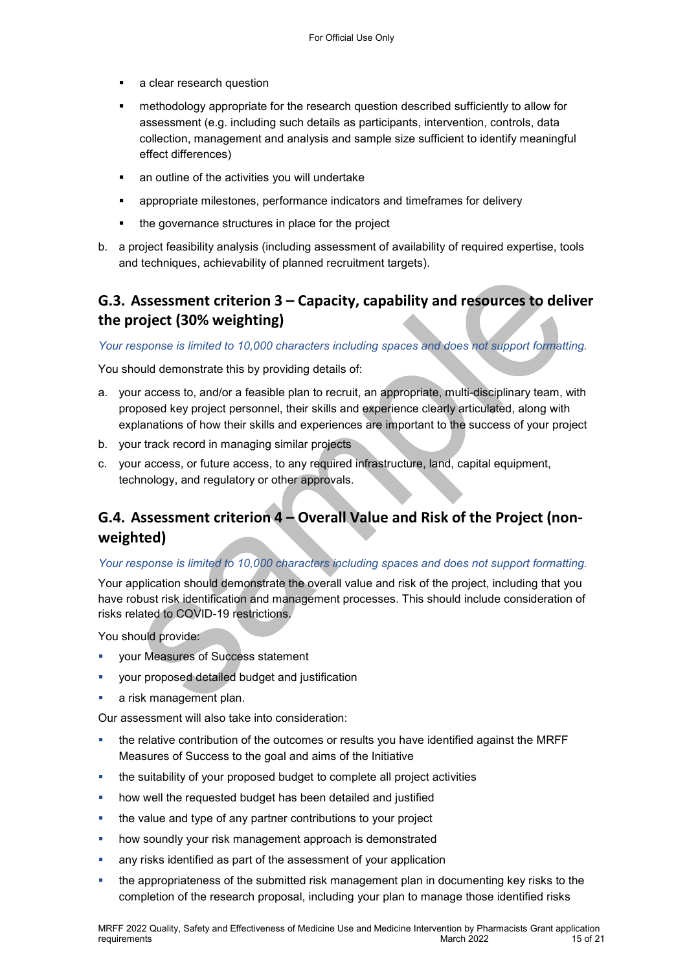- a clear research question
- methodology appropriate for the research question described sufficiently to allow for assessment (e.g. including such details as participants, intervention, controls, data collection, management and analysis and sample size sufficient to identify meaningful effect differences)
- an outline of the activities you will undertake
- appropriate milestones, performance indicators and timeframes for delivery
- the governance structures in place for the project
- b. a project feasibility analysis (including assessment of availability of required expertise, tools and techniques, achievability of planned recruitment targets).

## **G.3. Assessment criterion 3 – Capacity, capability and resources to deliver the project (30% weighting)**

*Your response is limited to 10,000 characters including spaces and does not support formatting.* 

You should demonstrate this by providing details of:

- a. your access to, and/or a feasible plan to recruit, an appropriate, multi-disciplinary team, with proposed key project personnel, their skills and experience clearly articulated, along with explanations of how their skills and experiences are important to the success of your project
- b. your track record in managing similar projects
- c. your access, or future access, to any required infrastructure, land, capital equipment, technology, and regulatory or other approvals.

# **G.4. Assessment criterion 4 – Overall Value and Risk of the Project (nonweighted)**

#### *Your response is limited to 10,000 characters including spaces and does not support formatting.*

Your application should demonstrate the overall value and risk of the project, including that you have robust risk identification and management processes. This should include consideration of risks related to COVID-19 restrictions.

You should provide:

- your Measures of Success statement
- your proposed detailed budget and justification
- a risk management plan.

Our assessment will also take into consideration:

- the relative contribution of the outcomes or results you have identified against the MRFF Measures of Success to the goal and aims of the Initiative
- the suitability of your proposed budget to complete all project activities
- **•** how well the requested budget has been detailed and justified
- **the value and type of any partner contributions to your project**
- how soundly your risk management approach is demonstrated
- any risks identified as part of the assessment of your application
- the appropriateness of the submitted risk management plan in documenting key risks to the completion of the research proposal, including your plan to manage those identified risks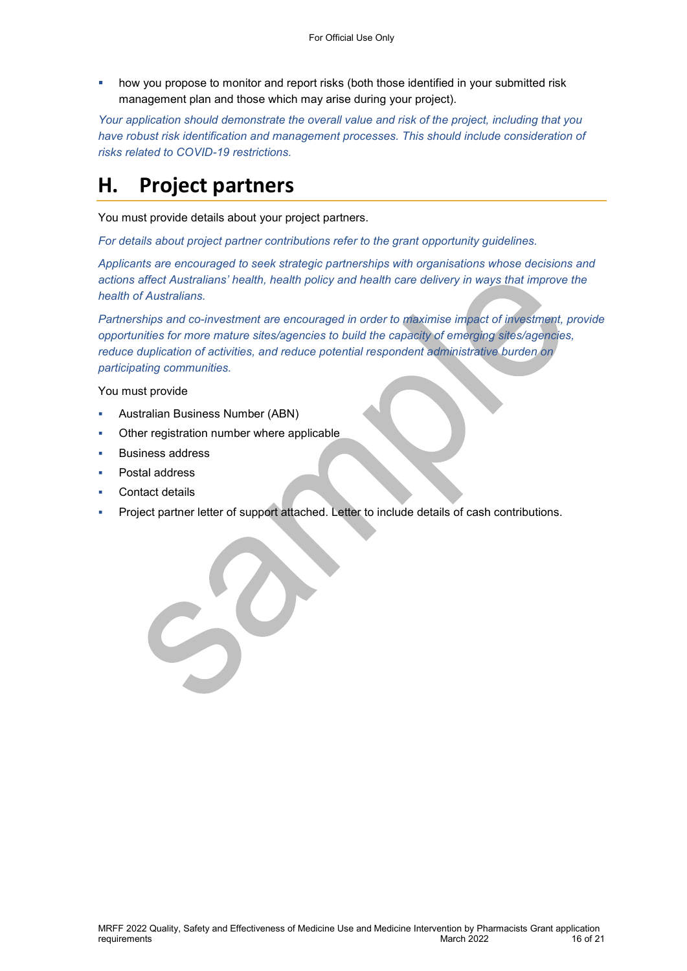how you propose to monitor and report risks (both those identified in your submitted risk management plan and those which may arise during your project).

*Your application should demonstrate the overall value and risk of the project, including that you*  have robust risk identification and management processes. This should include consideration of *risks related to COVID-19 restrictions.* 

# **H. Project partners**

You must provide details about your project partners.

*For details about project partner contributions refer to the grant opportunity guidelines.* 

*Applicants are encouraged to seek strategic partnerships with organisations whose decisions and actions affect Australians' health, health policy and health care delivery in ways that improve the health of Australians.* 

*Partnerships and co-investment are encouraged in order to maximise impact of investment, provide opportunities for more mature sites/agencies to build the capacity of emerging sites/agencies, reduce duplication of activities, and reduce potential respondent administrative burden on participating communities.* 

You must provide

- Australian Business Number (ABN)
- Other registration number where applicable

- Business address
- Postal address
- Contact details
- Project partner letter of support attached. Letter to include details of cash contributions.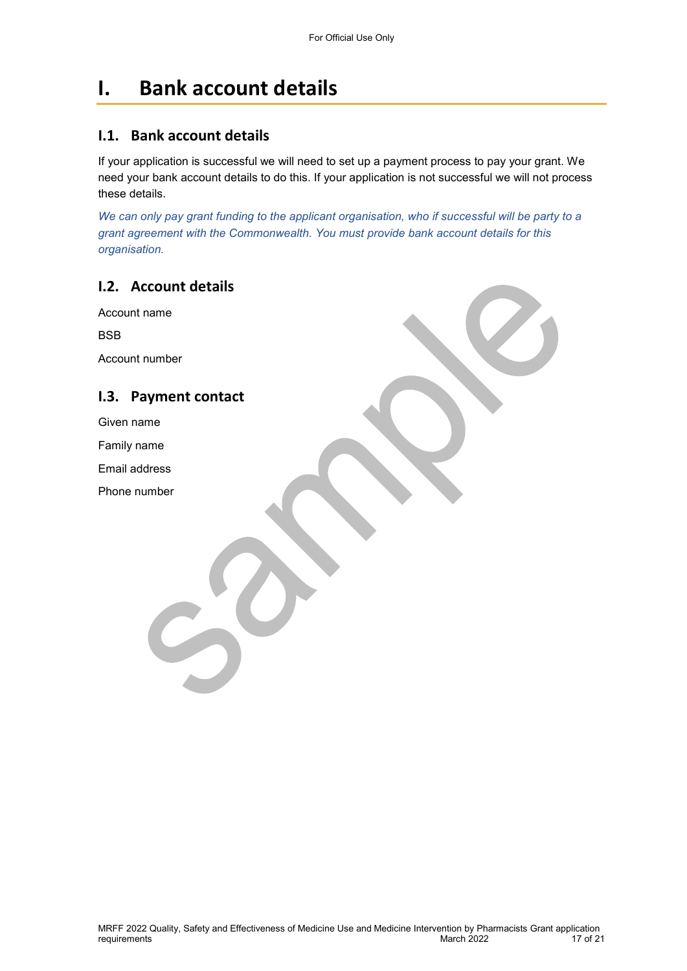# **I. Bank account details**

### **I.1. Bank account details**

If your application is successful we will need to set up a payment process to pay your grant. We need your bank account details to do this. If your application is not successful we will not process these details.

*We can only pay grant funding to the applicant organisation, who if successful will be party to a grant agreement with the Commonwealth. You must provide bank account details for this organisation.* 

### **I.2. Account details**

Account name BSB Account number **I.3. Payment contact**  Given name Family name Email address Phone number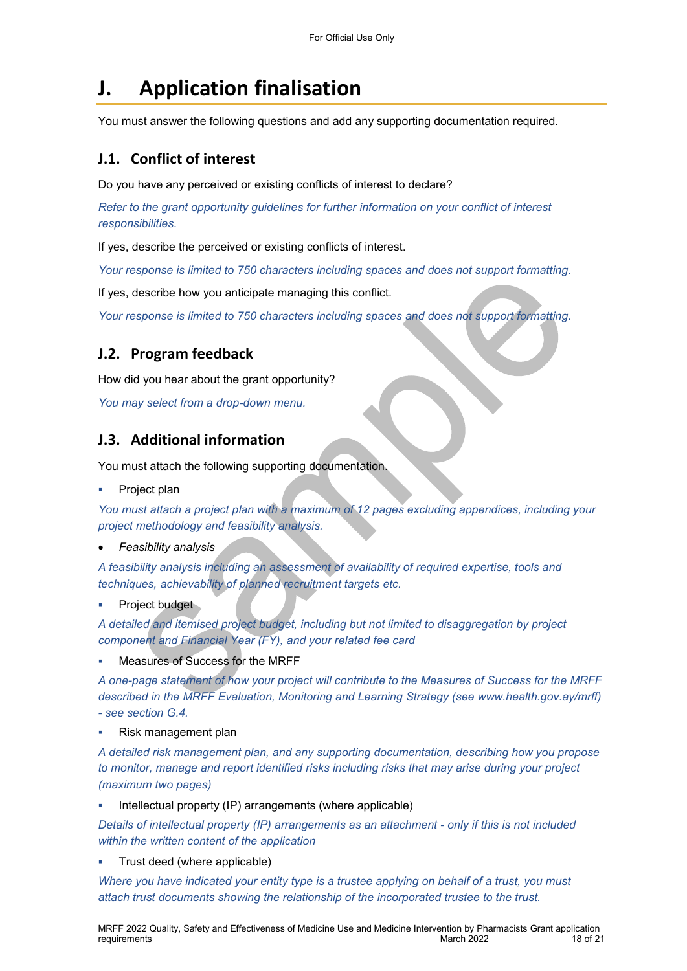# **J. Application finalisation**

You must answer the following questions and add any supporting documentation required.

## **J.1. Conflict of interest**

Do you have any perceived or existing conflicts of interest to declare?

*Refer to the grant opportunity guidelines for further information on your conflict of interest responsibilities.* 

If yes, describe the perceived or existing conflicts of interest.

*Your response is limited to 750 characters including spaces and does not support formatting.* 

If yes, describe how you anticipate managing this conflict.

*Your response is limited to 750 characters including spaces and does not support formatting.* 

## **J.2. Program feedback**

How did you hear about the grant opportunity?

*You may select from a drop-down menu.* 

## **J.3. Additional information**

You must attach the following supporting documentation.

Project plan

*You must attach a project plan with a maximum of 12 pages excluding appendices, including your project methodology and feasibility analysis.* 

*Feasibility analysis* 

*A feasibility analysis including an assessment of availability of required expertise, tools and techniques, achievability of planned recruitment targets etc.* 

Project budget

*A detailed and itemised project budget, including but not limited to disaggregation by project component and Financial Year (FY), and your related fee card* 

Measures of Success for the MRFF

*A one-page statement of how your project will contribute to the Measures of Success for the MRFF described in the MRFF Evaluation, Monitoring and Learning Strategy (see www.health.gov.ay/mrff) - see section G.4.* 

Risk management plan

*A detailed risk management plan, and any supporting documentation, describing how you propose to monitor, manage and report identified risks including risks that may arise during your project (maximum two pages)* 

Intellectual property (IP) arrangements (where applicable)

*Details of intellectual property (IP) arrangements as an attachment - only if this is not included within the written content of the application* 

Trust deed (where applicable)

*Where you have indicated your entity type is a trustee applying on behalf of a trust, you must attach trust documents showing the relationship of the incorporated trustee to the trust.*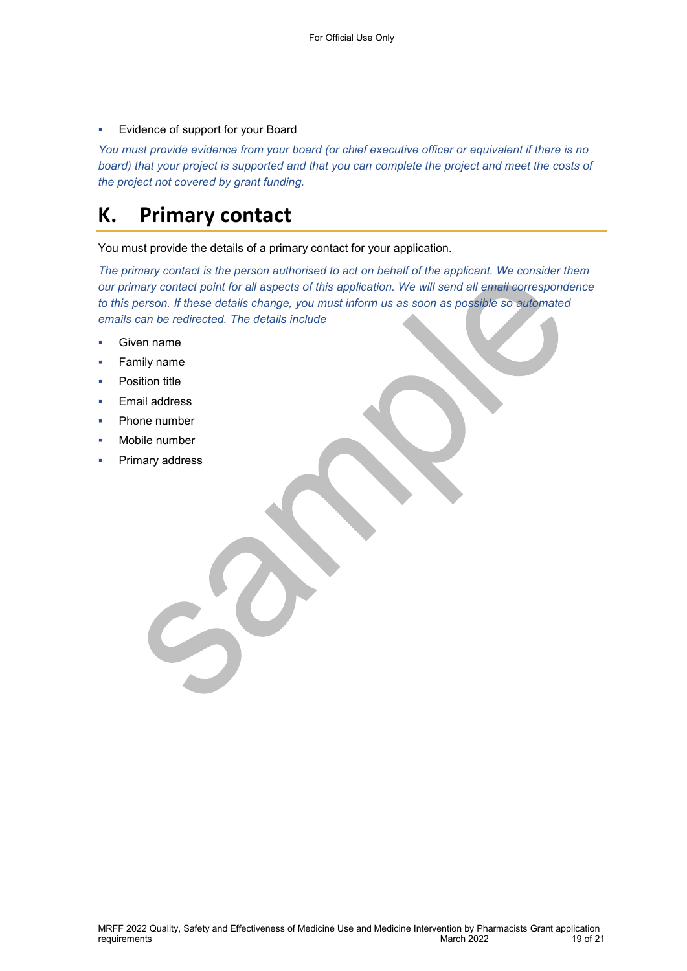Evidence of support for your Board

*You must provide evidence from your board (or chief executive officer or equivalent if there is no board) that your project is supported and that you can complete the project and meet the costs of the project not covered by grant funding.* 

# **K. Primary contact**

You must provide the details of a primary contact for your application.

*The primary contact is the person authorised to act on behalf of the applicant. We consider them our primary contact point for all aspects of this application. We will send all email correspondence to this person. If these details change, you must inform us as soon as possible so automated emails can be redirected. The details include* 

- Given name
- Family name
- Position title
- Email address
- Phone number
- Mobile number
- Primary address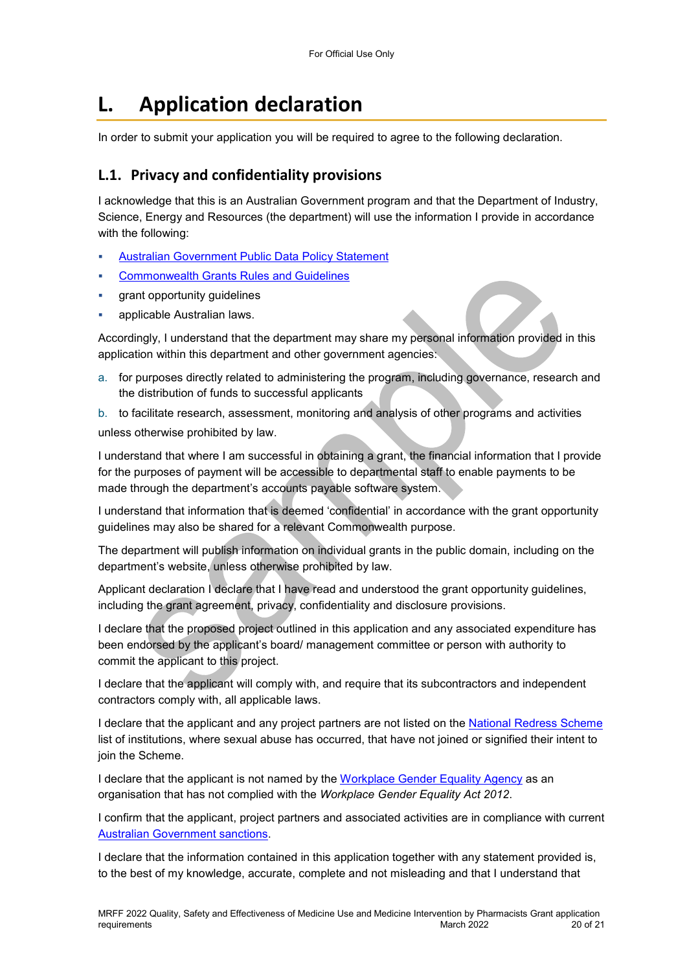# **L. Application declaration**

In order to submit your application you will be required to agree to the following declaration.

## **L.1. Privacy and confidentiality provisions**

I acknowledge that this is an Australian Government program and that the Department of Industry, Science, Energy and Resources (the department) will use the information I provide in accordance with the following:

- [Australian Government Public Data Policy Statement](https://www.pmc.gov.au/sites/default/files/publications/aust_govt_public_data_policy_statement_1.pdf)
- [Commonwealth Grants Rules and Guidelines](https://www.finance.gov.au/government/commonwealth-grants/commonwealth-grants-rules-guidelines)
- grant opportunity guidelines
- applicable Australian laws.

Accordingly, I understand that the department may share my personal information provided in this application within this department and other government agencies:

a. for purposes directly related to administering the program, including governance, research and the distribution of funds to successful applicants

b. to facilitate research, assessment, monitoring and analysis of other programs and activities unless otherwise prohibited by law.

I understand that where I am successful in obtaining a grant, the financial information that I provide for the purposes of payment will be accessible to departmental staff to enable payments to be made through the department's accounts payable software system.

I understand that information that is deemed 'confidential' in accordance with the grant opportunity guidelines may also be shared for a relevant Commonwealth purpose.

The department will publish information on individual grants in the public domain, including on the department's website, unless otherwise prohibited by law.

Applicant declaration I declare that I have read and understood the grant opportunity guidelines, including the grant agreement, privacy, confidentiality and disclosure provisions.

I declare that the proposed project outlined in this application and any associated expenditure has been endorsed by the applicant's board/ management committee or person with authority to commit the applicant to this project.

I declare that the applicant will comply with, and require that its subcontractors and independent contractors comply with, all applicable laws.

I declare that the applicant and any project partners are not listed on the [National Redress Scheme](https://www.nationalredress.gov.au/institutions/institutions-have-not-yet-joined) list of institutions, where sexual abuse has occurred, that have not joined or signified their intent to join the Scheme.

I declare that the applicant is not named by the [Workplace Gender Equality Agency](https://www.wgea.gov.au/what-we-do/compliance-reporting/non-compliant-list) as an organisation that has not complied with the *Workplace Gender Equality Act 2012*.

I confirm that the applicant, project partners and associated activities are in compliance with current [Australian Government sanctions.](https://www.dfat.gov.au/international-relations/security/sanctions)

I declare that the information contained in this application together with any statement provided is, to the best of my knowledge, accurate, complete and not misleading and that I understand that